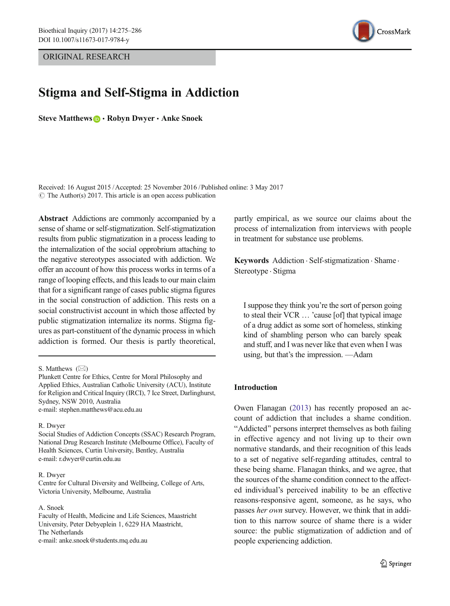ORIGINAL RESEARCH



# Stigma and Self-Stigma in Addiction

Steve Matthews  $\mathbf{D} \cdot \mathbf{Robyn}$  Dwyer  $\cdot$  Anke Snoek

Received: 16 August 2015 /Accepted: 25 November 2016 / Published online: 3 May 2017  $\circ$  The Author(s) 2017. This article is an open access publication

Abstract Addictions are commonly accompanied by a sense of shame or self-stigmatization. Self-stigmatization results from public stigmatization in a process leading to the internalization of the social opprobrium attaching to the negative stereotypes associated with addiction. We offer an account of how this process works in terms of a range of looping effects, and this leads to our main claim that for a significant range of cases public stigma figures in the social construction of addiction. This rests on a social constructivist account in which those affected by public stigmatization internalize its norms. Stigma figures as part-constituent of the dynamic process in which addiction is formed. Our thesis is partly theoretical,

R. Dwyer

#### R. Dwyer

Centre for Cultural Diversity and Wellbeing, College of Arts, Victoria University, Melbourne, Australia

## A. Snoek

Faculty of Health, Medicine and Life Sciences, Maastricht University, Peter Debyeplein 1, 6229 HA Maastricht, The Netherlands e-mail: anke.snoek@students.mq.edu.au

partly empirical, as we source our claims about the process of internalization from interviews with people in treatment for substance use problems.

Keywords Addiction . Self-stigmatization . Shame . Stereotype . Stigma

I suppose they think you're the sort of person going to steal their VCR … 'cause [of] that typical image of a drug addict as some sort of homeless, stinking kind of shambling person who can barely speak and stuff, and I was never like that even when I was using, but that's the impression. —Adam

## Introduction

Owen Flanagan ([2013](#page-11-0)) has recently proposed an account of addiction that includes a shame condition. "Addicted" persons interpret themselves as both failing in effective agency and not living up to their own normative standards, and their recognition of this leads to a set of negative self-regarding attitudes, central to these being shame. Flanagan thinks, and we agree, that the sources of the shame condition connect to the affected individual's perceived inability to be an effective reasons-responsive agent, someone, as he says, who passes her own survey. However, we think that in addition to this narrow source of shame there is a wider source: the public stigmatization of addiction and of people experiencing addiction.

S. Matthews  $(\boxtimes)$ 

Plunkett Centre for Ethics, Centre for Moral Philosophy and Applied Ethics, Australian Catholic University (ACU), Institute for Religion and Critical Inquiry (IRCI), 7 Ice Street, Darlinghurst, Sydney, NSW 2010, Australia e-mail: stephen.matthews@acu.edu.au

Social Studies of Addiction Concepts (SSAC) Research Program, National Drug Research Institute (Melbourne Office), Faculty of Health Sciences, Curtin University, Bentley, Australia e-mail: r.dwyer@curtin.edu.au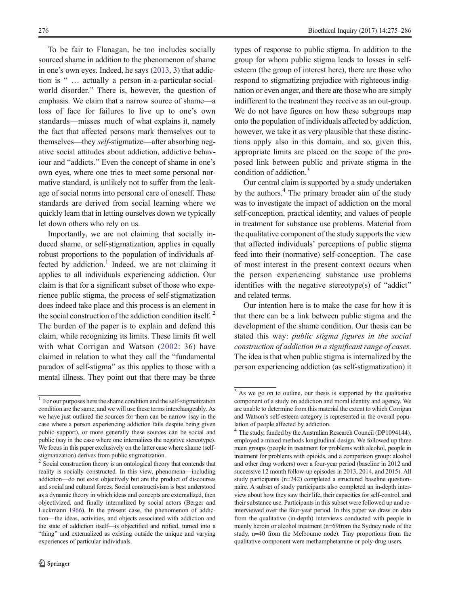To be fair to Flanagan, he too includes socially sourced shame in addition to the phenomenon of shame in one's own eyes. Indeed, he says [\(2013,](#page-11-0) 3) that addiction is " ... actually a person-in-a-particular-socialworld disorder." There is, however, the question of emphasis. We claim that a narrow source of shame—a loss of face for failures to live up to one's own standards—misses much of what explains it, namely the fact that affected persons mark themselves out to themselves—they self-stigmatize—after absorbing negative social attitudes about addiction, addictive behaviour and "addicts." Even the concept of shame in one's own eyes, where one tries to meet some personal normative standard, is unlikely not to suffer from the leakage of social norms into personal care of oneself. These standards are derived from social learning where we quickly learn that in letting ourselves down we typically let down others who rely on us.

Importantly, we are not claiming that socially induced shame, or self-stigmatization, applies in equally robust proportions to the population of individuals affected by addiction.<sup>1</sup> Indeed, we are not claiming it applies to all individuals experiencing addiction. Our claim is that for a significant subset of those who experience public stigma, the process of self-stigmatization does indeed take place and this process is an element in the social construction of the addiction condition itself.  $\frac{2}{3}$ The burden of the paper is to explain and defend this claim, while recognizing its limits. These limits fit well with what Corrigan and Watson ([2002:](#page-11-0) 36) have claimed in relation to what they call the "fundamental" paradox of self-stigma" as this applies to those with a mental illness. They point out that there may be three types of response to public stigma. In addition to the group for whom public stigma leads to losses in selfesteem (the group of interest here), there are those who respond to stigmatizing prejudice with righteous indignation or even anger, and there are those who are simply indifferent to the treatment they receive as an out-group. We do not have figures on how these subgroups map onto the population of individuals affected by addiction, however, we take it as very plausible that these distinctions apply also in this domain, and so, given this, appropriate limits are placed on the scope of the proposed link between public and private stigma in the condition of addiction.<sup>3</sup>

Our central claim is supported by a study undertaken by the authors.<sup>4</sup> The primary broader aim of the study was to investigate the impact of addiction on the moral self-conception, practical identity, and values of people in treatment for substance use problems. Material from the qualitative component of the study supports the view that affected individuals' perceptions of public stigma feed into their (normative) self-conception. The case of most interest in the present context occurs when the person experiencing substance use problems identifies with the negative stereotype(s) of "addict" and related terms.

Our intention here is to make the case for how it is that there can be a link between public stigma and the development of the shame condition. Our thesis can be stated this way: public stigma figures in the social construction of addiction in a significant range of cases. The idea is that when public stigma is internalized by the person experiencing addiction (as self-stigmatization) it

<sup>1</sup> For our purposes here the shame condition and the self-stigmatization condition are the same, and we will use these terms interchangeably. As we have just outlined the sources for them can be narrow (say in the case where a person experiencing addiction fails despite being given public support), or more generally these sources can be social and public (say in the case where one internalizes the negative stereotype). We focus in this paper exclusively on the latter case where shame (selfstigmatization) derives from public stigmatization.

<sup>&</sup>lt;sup>2</sup> Social construction theory is an ontological theory that contends that reality is socially constructed. In this view, phenomena—including addiction—do not exist objectively but are the product of discourses and social and cultural forces. Social constructivism is best understood as a dynamic theory in which ideas and concepts are externalized, then objectivized, and finally internalized by social actors (Berger and Luckmann [1966\)](#page-11-0). In the present case, the phenomenon of addiction—the ideas, activities, and objects associated with addiction and the state of addiction itself—is objectified and reified, turned into a "thing" and externalized as existing outside the unique and varying experiences of particular individuals.

<sup>&</sup>lt;sup>3</sup> As we go on to outline, our thesis is supported by the qualitative component of a study on addiction and moral identity and agency. We are unable to determine from this material the extent to which Corrigan and Watson's self-esteem category is represented in the overall population of people affected by addiction.

<sup>4</sup> The study, funded by the Australian Research Council (DP1094144), employed a mixed methods longitudinal design. We followed up three main groups (people in treatment for problems with alcohol, people in treatment for problems with opioids, and a comparison group: alcohol and other drug workers) over a four-year period (baseline in 2012 and successive 12 month follow-up episodes in 2013, 2014, and 2015). All study participants (n=242) completed a structured baseline questionnaire. A subset of study participants also completed an in-depth interview about how they saw their life, their capacities for self-control, and their substance use. Participants in this subset were followed up and reinterviewed over the four-year period. In this paper we draw on data from the qualitative (in-depth) interviews conducted with people in mainly heroin or alcohol treatment (n=69from the Sydney node of the study, n=40 from the Melbourne node). Tiny proportions from the qualitative component were methamphetamine or poly-drug users.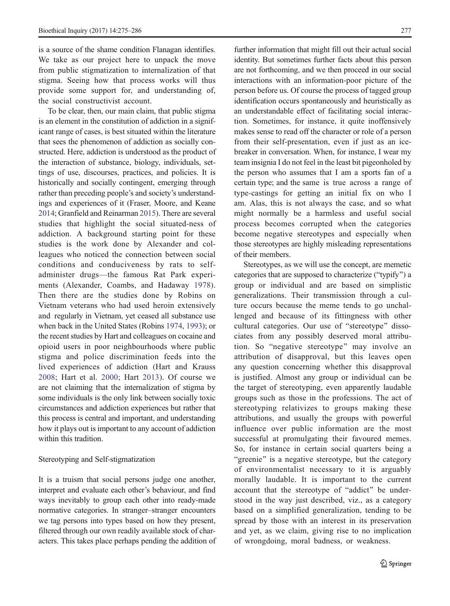is a source of the shame condition Flanagan identifies. We take as our project here to unpack the move from public stigmatization to internalization of that stigma. Seeing how that process works will thus provide some support for, and understanding of, the social constructivist account.

To be clear, then, our main claim, that public stigma is an element in the constitution of addiction in a significant range of cases, is best situated within the literature that sees the phenomenon of addiction as socially constructed. Here, addiction is understood as the product of the interaction of substance, biology, individuals, settings of use, discourses, practices, and policies. It is historically and socially contingent, emerging through rather than preceding people's and society's understandings and experiences of it (Fraser, Moore, and Keane [2014](#page-11-0); Granfield and Reinarman [2015\)](#page-11-0). There are several studies that highlight the social situated-ness of addiction. A background starting point for these studies is the work done by Alexander and colleagues who noticed the connection between social conditions and conduciveness by rats to selfadminister drugs—the famous Rat Park experiments (Alexander, Coambs, and Hadaway [1978](#page-11-0)). Then there are the studies done by Robins on Vietnam veterans who had used heroin extensively and regularly in Vietnam, yet ceased all substance use when back in the United States (Robins [1974,](#page-11-0) [1993\)](#page-11-0); or the recent studies by Hart and colleagues on cocaine and opioid users in poor neighbourhoods where public stigma and police discrimination feeds into the lived experiences of addiction (Hart and Krauss [2008](#page-11-0); Hart et al. [2000;](#page-11-0) Hart [2013\)](#page-11-0). Of course we are not claiming that the internalization of stigma by some individuals is the only link between socially toxic circumstances and addiction experiences but rather that this process is central and important, and understanding how it plays out is important to any account of addiction within this tradition.

## Stereotyping and Self-stigmatization

It is a truism that social persons judge one another, interpret and evaluate each other's behaviour, and find ways inevitably to group each other into ready-made normative categories. In stranger–stranger encounters we tag persons into types based on how they present, filtered through our own readily available stock of characters. This takes place perhaps pending the addition of further information that might fill out their actual social identity. But sometimes further facts about this person are not forthcoming, and we then proceed in our social interactions with an information-poor picture of the person before us. Of course the process of tagged group identification occurs spontaneously and heuristically as an understandable effect of facilitating social interaction. Sometimes, for instance, it quite inoffensively makes sense to read off the character or role of a person from their self-presentation, even if just as an icebreaker in conversation. When, for instance, I wear my team insignia I do not feel in the least bit pigeonholed by the person who assumes that I am a sports fan of a certain type; and the same is true across a range of type-castings for getting an initial fix on who I am. Alas, this is not always the case, and so what might normally be a harmless and useful social process becomes corrupted when the categories become negative stereotypes and especially when those stereotypes are highly misleading representations of their members.

Stereotypes, as we will use the concept, are memetic categories that are supposed to characterize ("typify") a group or individual and are based on simplistic generalizations. Their transmission through a culture occurs because the meme tends to go unchallenged and because of its fittingness with other cultural categories. Our use of "stereotype" dissociates from any possibly deserved moral attribution. So "negative stereotype" may involve an attribution of disapproval, but this leaves open any question concerning whether this disapproval is justified. Almost any group or individual can be the target of stereotyping, even apparently laudable groups such as those in the professions. The act of stereotyping relativizes to groups making these attributions, and usually the groups with powerful influence over public information are the most successful at promulgating their favoured memes. So, for instance in certain social quarters being a "greenie" is a negative stereotype, but the category of environmentalist necessary to it is arguably morally laudable. It is important to the current account that the stereotype of "addict" be understood in the way just described, viz., as a category based on a simplified generalization, tending to be spread by those with an interest in its preservation and yet, as we claim, giving rise to no implication of wrongdoing, moral badness, or weakness.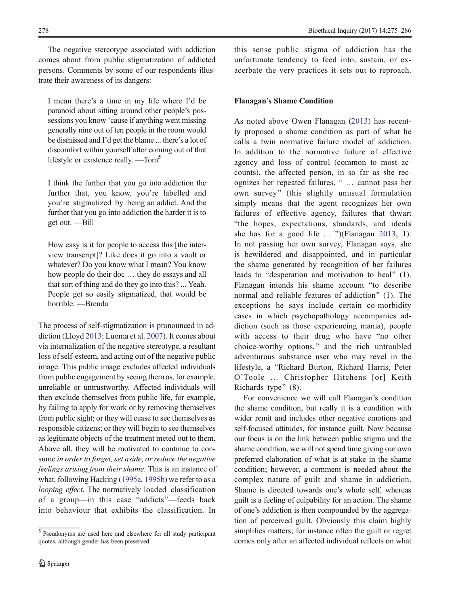The negative stereotype associated with addiction comes about from public stigmatization of addicted persons. Comments by some of our respondents illustrate their awareness of its dangers:

I mean there's a time in my life where I'd be paranoid about sitting around other people's possessions you know 'cause if anything went missing generally nine out of ten people in the room would be dismissed and I'd get the blame ... there's a lot of discomfort within yourself after coming out of that lifestyle or existence really. —Tom<sup>5</sup>

I think the further that you go into addiction the further that, you know, you're labelled and you're stigmatized by being an addict. And the further that you go into addiction the harder it is to get out. —Bill

How easy is it for people to access this [the interview transcript]? Like does it go into a vault or whatever? Do you know what I mean? You know how people do their doc … they do essays and all that sort of thing and do they go into this? ... Yeah. People get so easily stigmatized, that would be horrible. —Brenda

The process of self-stigmatization is pronounced in addiction (Lloyd [2013;](#page-11-0) Luoma et al. [2007](#page-11-0)). It comes about via internalization of the negative stereotype, a resultant loss of self-esteem, and acting out of the negative public image. This public image excludes affected individuals from public engagement by seeing them as, for example, unreliable or untrustworthy. Affected individuals will then exclude themselves from public life, for example, by failing to apply for work or by removing themselves from public sight; or they will cease to see themselves as responsible citizens; or they will begin to see themselves as legitimate objects of the treatment meted out to them. Above all, they will be motivated to continue to consume in order to forget, set aside, or reduce the negative feelings arising from their shame. This is an instance of what, following Hacking [\(1995a](#page-11-0), [1995b](#page-11-0)) we refer to as a looping effect. The normatively loaded classification of a group—in this case "addicts"—feeds back into behaviour that exhibits the classification. In

this sense public stigma of addiction has the unfortunate tendency to feed into, sustain, or exacerbate the very practices it sets out to reproach.

## Flanagan's Shame Condition

As noted above Owen Flanagan [\(2013\)](#page-11-0) has recently proposed a shame condition as part of what he calls a twin normative failure model of addiction. In addition to the normative failure of effective agency and loss of control (common to most accounts), the affected person, in so far as she recognizes her repeated failures, " ... cannot pass her own survey" (this slightly unusual formulation simply means that the agent recognizes her own failures of effective agency, failures that thwart "the hopes, expectations, standards, and ideals she has for a good life ... ")(Flanagan [2013](#page-11-0), 1). In not passing her own survey, Flanagan says, she is bewildered and disappointed, and in particular the shame generated by recognition of her failures leads to "desperation and motivation to heal" (1). Flanagan intends his shame account "to describe" normal and reliable features of addiction" (1). The exceptions he says include certain co-morbidity cases in which psychopathology accompanies addiction (such as those experiencing mania), people with access to their drug who have "no other choice-worthy options,^ and the rich untroubled adventurous substance user who may revel in the lifestyle, a "Richard Burton, Richard Harris, Peter O'Toole … Christopher Hitchens [or] Keith Richards type^ (8).

For convenience we will call Flanagan's condition the shame condition, but really it is a condition with wider remit and includes other negative emotions and self-focused attitudes, for instance guilt. Now because our focus is on the link between public stigma and the shame condition, we will not spend time giving our own preferred elaboration of what is at stake in the shame condition; however, a comment is needed about the complex nature of guilt and shame in addiction. Shame is directed towards one's whole self, whereas guilt is a feeling of culpability for an action. The shame of one's addiction is then compounded by the aggregation of perceived guilt. Obviously this claim highly simplifies matters; for instance often the guilt or regret comes only after an affected individual reflects on what

<sup>5</sup> Pseudonyms are used here and elsewhere for all study participant quotes, although gender has been preserved.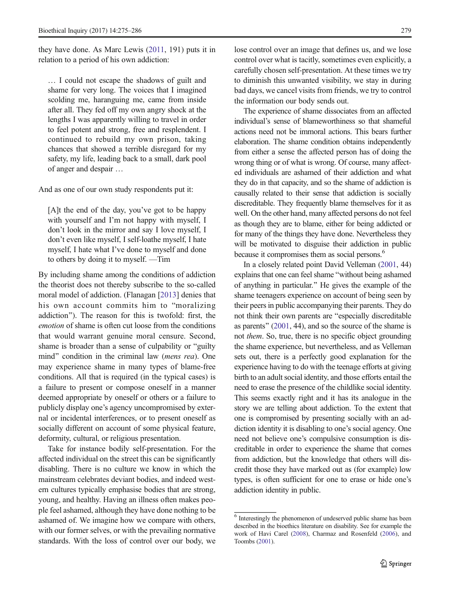they have done. As Marc Lewis ([2011,](#page-11-0) 191) puts it in relation to a period of his own addiction:

… I could not escape the shadows of guilt and shame for very long. The voices that I imagined scolding me, haranguing me, came from inside after all. They fed off my own angry shock at the lengths I was apparently willing to travel in order to feel potent and strong, free and resplendent. I continued to rebuild my own prison, taking chances that showed a terrible disregard for my safety, my life, leading back to a small, dark pool of anger and despair …

And as one of our own study respondents put it:

[A]t the end of the day, you've got to be happy with yourself and I'm not happy with myself, I don't look in the mirror and say I love myself, I don't even like myself, I self-loathe myself, I hate myself, I hate what I've done to myself and done to others by doing it to myself. —Tim

By including shame among the conditions of addiction the theorist does not thereby subscribe to the so-called moral model of addiction. (Flanagan [\[2013\]](#page-11-0) denies that his own account commits him to "moralizing" addiction^). The reason for this is twofold: first, the emotion of shame is often cut loose from the conditions that would warrant genuine moral censure. Second, shame is broader than a sense of culpability or "guilty" mind" condition in the criminal law (*mens rea*). One may experience shame in many types of blame-free conditions. All that is required (in the typical cases) is a failure to present or compose oneself in a manner deemed appropriate by oneself or others or a failure to publicly display one's agency uncompromised by external or incidental interferences, or to present oneself as socially different on account of some physical feature, deformity, cultural, or religious presentation.

Take for instance bodily self-presentation. For the affected individual on the street this can be significantly disabling. There is no culture we know in which the mainstream celebrates deviant bodies, and indeed western cultures typically emphasise bodies that are strong, young, and healthy. Having an illness often makes people feel ashamed, although they have done nothing to be ashamed of. We imagine how we compare with others, with our former selves, or with the prevailing normative standards. With the loss of control over our body, we lose control over an image that defines us, and we lose control over what is tacitly, sometimes even explicitly, a carefully chosen self-presentation. At these times we try to diminish this unwanted visibility, we stay in during bad days, we cancel visits from friends, we try to control the information our body sends out.

The experience of shame dissociates from an affected individual's sense of blameworthiness so that shameful actions need not be immoral actions. This bears further elaboration. The shame condition obtains independently from either a sense the affected person has of doing the wrong thing or of what is wrong. Of course, many affected individuals are ashamed of their addiction and what they do in that capacity, and so the shame of addiction is causally related to their sense that addiction is socially discreditable. They frequently blame themselves for it as well. On the other hand, many affected persons do not feel as though they are to blame, either for being addicted or for many of the things they have done. Nevertheless they will be motivated to disguise their addiction in public because it compromises them as social persons.<sup>6</sup>

In a closely related point David Velleman [\(2001](#page-11-0), 44) explains that one can feel shame "without being ashamed of anything in particular.^ He gives the example of the shame teenagers experience on account of being seen by their peers in public accompanying their parents. They do not think their own parents are "especially discreditable as parents"  $(2001, 44)$  $(2001, 44)$ , and so the source of the shame is not them. So, true, there is no specific object grounding the shame experience, but nevertheless, and as Velleman sets out, there is a perfectly good explanation for the experience having to do with the teenage efforts at giving birth to an adult social identity, and those efforts entail the need to erase the presence of the childlike social identity. This seems exactly right and it has its analogue in the story we are telling about addiction. To the extent that one is compromised by presenting socially with an addiction identity it is disabling to one's social agency. One need not believe one's compulsive consumption is discreditable in order to experience the shame that comes from addiction, but the knowledge that others will discredit those they have marked out as (for example) low types, is often sufficient for one to erase or hide one's addiction identity in public.

<sup>6</sup> Interestingly the phenomenon of undeserved public shame has been described in the bioethics literature on disability. See for example the work of Havi Carel [\(2008](#page-11-0)), Charmaz and Rosenfeld ([2006\)](#page-11-0), and Toombs [\(2001\)](#page-11-0).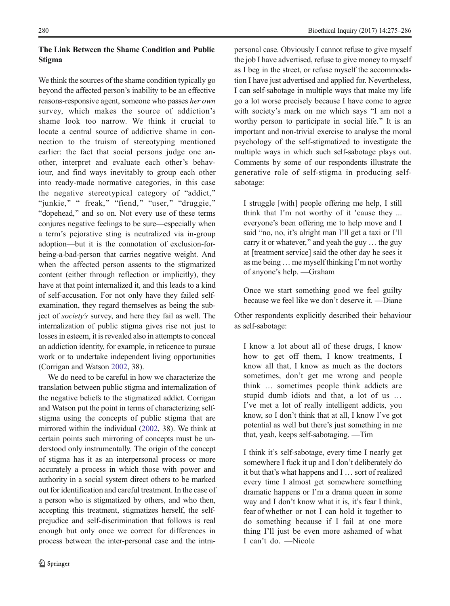## The Link Between the Shame Condition and Public Stigma

We think the sources of the shame condition typically go beyond the affected person's inability to be an effective reasons-responsive agent, someone who passes her own survey, which makes the source of addiction's shame look too narrow. We think it crucial to locate a central source of addictive shame in connection to the truism of stereotyping mentioned earlier: the fact that social persons judge one another, interpret and evaluate each other's behaviour, and find ways inevitably to group each other into ready-made normative categories, in this case the negative stereotypical category of "addict," "junkie," " ${\text{freak}}$ ," "fiend," "user," "druggie," "dopehead," and so on. Not every use of these terms conjures negative feelings to be sure—especially when a term's pejorative sting is neutralized via in-group adoption—but it is the connotation of exclusion-forbeing-a-bad-person that carries negative weight. And when the affected person assents to the stigmatized content (either through reflection or implicitly), they have at that point internalized it, and this leads to a kind of self-accusation. For not only have they failed selfexamination, they regard themselves as being the subject of society's survey, and here they fail as well. The internalization of public stigma gives rise not just to losses in esteem, it is revealed also in attempts to conceal an addiction identity, for example, in reticence to pursue work or to undertake independent living opportunities (Corrigan and Watson [2002,](#page-11-0) 38).

We do need to be careful in how we characterize the translation between public stigma and internalization of the negative beliefs to the stigmatized addict. Corrigan and Watson put the point in terms of characterizing selfstigma using the concepts of public stigma that are mirrored within the individual [\(2002,](#page-11-0) 38). We think at certain points such mirroring of concepts must be understood only instrumentally. The origin of the concept of stigma has it as an interpersonal process or more accurately a process in which those with power and authority in a social system direct others to be marked out for identification and careful treatment. In the case of a person who is stigmatized by others, and who then, accepting this treatment, stigmatizes herself, the selfprejudice and self-discrimination that follows is real enough but only once we correct for differences in process between the inter-personal case and the intrapersonal case. Obviously I cannot refuse to give myself the job I have advertised, refuse to give money to myself as I beg in the street, or refuse myself the accommodation I have just advertised and applied for. Nevertheless, I can self-sabotage in multiple ways that make my life go a lot worse precisely because I have come to agree with society's mark on me which says "I am not a worthy person to participate in social life." It is an important and non-trivial exercise to analyse the moral psychology of the self-stigmatized to investigate the multiple ways in which such self-sabotage plays out. Comments by some of our respondents illustrate the generative role of self-stigma in producing selfsabotage:

I struggle [with] people offering me help, I still think that I'm not worthy of it 'cause they ... everyone's been offering me to help move and I said "no, no, it's alright man I'll get a taxi or I'll carry it or whatever," and yeah the guy ... the guy at [treatment service] said the other day he sees it as me being … me myself thinking I'm not worthy of anyone's help. —Graham

Once we start something good we feel guilty because we feel like we don't deserve it. —Diane

Other respondents explicitly described their behaviour as self-sabotage:

I know a lot about all of these drugs, I know how to get off them, I know treatments, I know all that, I know as much as the doctors sometimes, don't get me wrong and people think … sometimes people think addicts are stupid dumb idiots and that, a lot of us … I've met a lot of really intelligent addicts, you know, so I don't think that at all, I know I've got potential as well but there's just something in me that, yeah, keeps self-sabotaging. —Tim

I think it's self-sabotage, every time I nearly get somewhere I fuck it up and I don't deliberately do it but that's what happens and I … sort of realized every time I almost get somewhere something dramatic happens or I'm a drama queen in some way and I don't know what it is, it's fear I think, fear of whether or not I can hold it together to do something because if I fail at one more thing I'll just be even more ashamed of what I can't do. —Nicole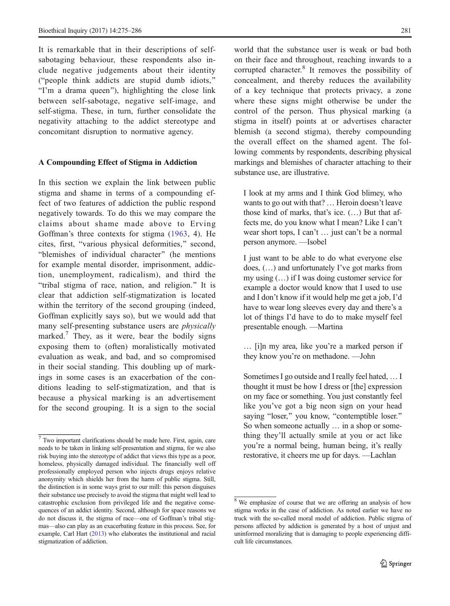It is remarkable that in their descriptions of selfsabotaging behaviour, these respondents also include negative judgements about their identity ("people think addicts are stupid dumb idiots," "I'm a drama queen"), highlighting the close link between self-sabotage, negative self-image, and self-stigma. These, in turn, further consolidate the negativity attaching to the addict stereotype and concomitant disruption to normative agency.

## A Compounding Effect of Stigma in Addiction

In this section we explain the link between public stigma and shame in terms of a compounding effect of two features of addiction the public respond negatively towards. To do this we may compare the claims about shame made above to Erving Goffman's three contexts for stigma ([1963](#page-11-0), 4). He cites, first, "various physical deformities," second, "blemishes of individual character" (he mentions for example mental disorder, imprisonment, addiction, unemployment, radicalism), and third the "tribal stigma of race, nation, and religion." It is clear that addiction self-stigmatization is located within the territory of the second grouping (indeed, Goffman explicitly says so), but we would add that many self-presenting substance users are physically marked.<sup>7</sup> They, as it were, bear the bodily signs exposing them to (often) moralistically motivated evaluation as weak, and bad, and so compromised in their social standing. This doubling up of markings in some cases is an exacerbation of the conditions leading to self-stigmatization, and that is because a physical marking is an advertisement for the second grouping. It is a sign to the social

world that the substance user is weak or bad both on their face and throughout, reaching inwards to a corrupted character.<sup>8</sup> It removes the possibility of concealment, and thereby reduces the availability of a key technique that protects privacy, a zone where these signs might otherwise be under the control of the person. Thus physical marking (a stigma in itself) points at or advertises character blemish (a second stigma), thereby compounding the overall effect on the shamed agent. The following comments by respondents, describing physical markings and blemishes of character attaching to their substance use, are illustrative.

I look at my arms and I think God blimey, who wants to go out with that? … Heroin doesn't leave those kind of marks, that's ice. (…) But that affects me, do you know what I mean? Like I can't wear short tops, I can't … just can't be a normal person anymore. —Isobel

I just want to be able to do what everyone else does, (…) and unfortunately I've got marks from my using (…) if I was doing customer service for example a doctor would know that I used to use and I don't know if it would help me get a job, I'd have to wear long sleeves every day and there's a lot of things I'd have to do to make myself feel presentable enough. —Martina

… [i]n my area, like you're a marked person if they know you're on methadone. —John

Sometimes I go outside and I really feel hated, … I thought it must be how I dress or [the] expression on my face or something. You just constantly feel like you've got a big neon sign on your head saying "loser," you know, "contemptible loser." So when someone actually … in a shop or something they'll actually smile at you or act like you're a normal being, human being, it's really restorative, it cheers me up for days. —Lachlan

 $\sqrt{7}$  Two important clarifications should be made here. First, again, care needs to be taken in linking self-presentation and stigma, for we also risk buying into the stereotype of addict that views this type as a poor, homeless, physically damaged individual. The financially well off professionally employed person who injects drugs enjoys relative anonymity which shields her from the harm of public stigma. Still, the distinction is in some ways grist to our mill: this person disguises their substance use precisely to avoid the stigma that might well lead to catastrophic exclusion from privileged life and the negative consequences of an addict identity. Second, although for space reasons we do not discuss it, the stigma of race—one of Goffman's tribal stigmas—also can play as an exacerbating feature in this process. See, for example, Carl Hart [\(2013\)](#page-11-0) who elaborates the institutional and racial stigmatization of addiction.

<sup>8</sup> We emphasize of course that we are offering an analysis of how stigma works in the case of addiction. As noted earlier we have no truck with the so-called moral model of addiction. Public stigma of persons affected by addiction is generated by a host of unjust and uninformed moralizing that is damaging to people experiencing difficult life circumstances.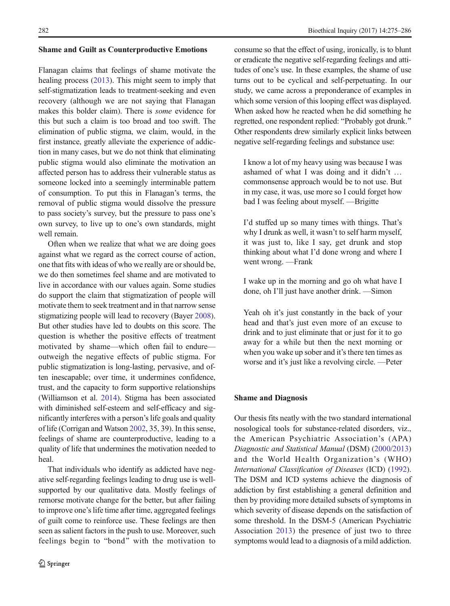#### Shame and Guilt as Counterproductive Emotions

Flanagan claims that feelings of shame motivate the healing process ([2013](#page-11-0)). This might seem to imply that self-stigmatization leads to treatment-seeking and even recovery (although we are not saying that Flanagan makes this bolder claim). There is some evidence for this but such a claim is too broad and too swift. The elimination of public stigma, we claim, would, in the first instance, greatly alleviate the experience of addiction in many cases, but we do not think that eliminating public stigma would also eliminate the motivation an affected person has to address their vulnerable status as someone locked into a seemingly interminable pattern of consumption. To put this in Flanagan's terms, the removal of public stigma would dissolve the pressure to pass society's survey, but the pressure to pass one's own survey, to live up to one's own standards, might well remain.

Often when we realize that what we are doing goes against what we regard as the correct course of action, one that fits with ideas of who we really are or should be, we do then sometimes feel shame and are motivated to live in accordance with our values again. Some studies do support the claim that stigmatization of people will motivate them to seek treatment and in that narrow sense stigmatizing people will lead to recovery (Bayer [2008\)](#page-11-0). But other studies have led to doubts on this score. The question is whether the positive effects of treatment motivated by shame—which often fail to endure outweigh the negative effects of public stigma. For public stigmatization is long-lasting, pervasive, and often inescapable; over time, it undermines confidence, trust, and the capacity to form supportive relationships (Williamson et al. [2014](#page-11-0)). Stigma has been associated with diminished self-esteem and self-efficacy and significantly interferes with a person's life goals and quality of life (Corrigan and Watson [2002](#page-11-0), 35, 39). In this sense, feelings of shame are counterproductive, leading to a quality of life that undermines the motivation needed to heal.

That individuals who identify as addicted have negative self-regarding feelings leading to drug use is wellsupported by our qualitative data. Mostly feelings of remorse motivate change for the better, but after failing to improve one's life time after time, aggregated feelings of guilt come to reinforce use. These feelings are then seen as salient factors in the push to use. Moreover, such feelings begin to "bond" with the motivation to

consume so that the effect of using, ironically, is to blunt or eradicate the negative self-regarding feelings and attitudes of one's use. In these examples, the shame of use turns out to be cyclical and self-perpetuating. In our study, we came across a preponderance of examples in which some version of this looping effect was displayed. When asked how he reacted when he did something he regretted, one respondent replied: "Probably got drunk." Other respondents drew similarly explicit links between negative self-regarding feelings and substance use:

I know a lot of my heavy using was because I was ashamed of what I was doing and it didn't … commonsense approach would be to not use. But in my case, it was, use more so I could forget how bad I was feeling about myself. —Brigitte

I'd stuffed up so many times with things. That's why I drunk as well, it wasn't to self harm myself, it was just to, like I say, get drunk and stop thinking about what I'd done wrong and where I went wrong. —Frank

I wake up in the morning and go oh what have I done, oh I'll just have another drink. —Simon

Yeah oh it's just constantly in the back of your head and that's just even more of an excuse to drink and to just eliminate that or just for it to go away for a while but then the next morning or when you wake up sober and it's there ten times as worse and it's just like a revolving circle. —Peter

## Shame and Diagnosis

Our thesis fits neatly with the two standard international nosological tools for substance-related disorders, viz., the American Psychiatric Association's (APA) Diagnostic and Statistical Manual (DSM) [\(2000/2013](#page-11-0)) and the World Health Organization's (WHO) International Classification of Diseases (ICD) [\(1992\)](#page-11-0). The DSM and ICD systems achieve the diagnosis of addiction by first establishing a general definition and then by providing more detailed subsets of symptoms in which severity of disease depends on the satisfaction of some threshold. In the DSM-5 (American Psychiatric Association [2013\)](#page-11-0) the presence of just two to three symptoms would lead to a diagnosis of a mild addiction.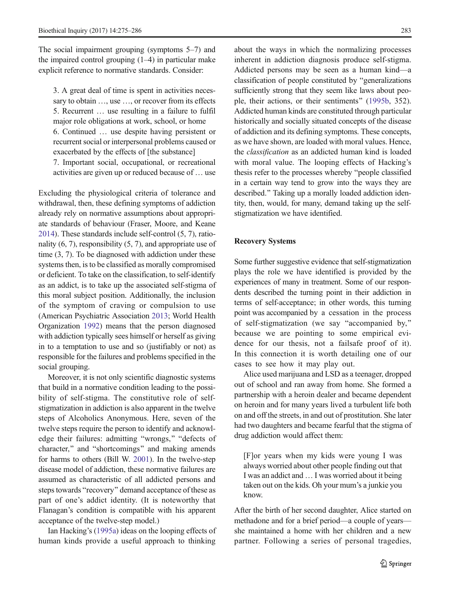The social impairment grouping (symptoms 5–7) and the impaired control grouping (1–4) in particular make explicit reference to normative standards. Consider:

3. A great deal of time is spent in activities necessary to obtain ..., use ..., or recover from its effects 5. Recurrent … use resulting in a failure to fulfil major role obligations at work, school, or home 6. Continued … use despite having persistent or recurrent social or interpersonal problems caused or exacerbated by the effects of [the substance] 7. Important social, occupational, or recreational activities are given up or reduced because of … use

Excluding the physiological criteria of tolerance and withdrawal, then, these defining symptoms of addiction already rely on normative assumptions about appropriate standards of behaviour (Fraser, Moore, and Keane [2014](#page-11-0)). These standards include self-control (5, 7), rationality (6, 7), responsibility (5, 7), and appropriate use of time (3, 7). To be diagnosed with addiction under these systems then, is to be classified as morally compromised or deficient. To take on the classification, to self-identify as an addict, is to take up the associated self-stigma of this moral subject position. Additionally, the inclusion of the symptom of craving or compulsion to use (American Psychiatric Association [2013](#page-11-0); World Health Organization [1992](#page-11-0)) means that the person diagnosed with addiction typically sees himself or herself as giving in to a temptation to use and so (justifiably or not) as responsible for the failures and problems specified in the social grouping.

Moreover, it is not only scientific diagnostic systems that build in a normative condition leading to the possibility of self-stigma. The constitutive role of selfstigmatization in addiction is also apparent in the twelve steps of Alcoholics Anonymous. Here, seven of the twelve steps require the person to identify and acknowledge their failures: admitting "wrongs," "defects of character," and "shortcomings" and making amends for harms to others (Bill W. [2001\)](#page-11-0). In the twelve-step disease model of addiction, these normative failures are assumed as characteristic of all addicted persons and steps towards "recovery" demand acceptance of these as part of one's addict identity. (It is noteworthy that Flanagan's condition is compatible with his apparent acceptance of the twelve-step model.)

Ian Hacking's [\(1995a](#page-11-0)) ideas on the looping effects of human kinds provide a useful approach to thinking

about the ways in which the normalizing processes inherent in addiction diagnosis produce self-stigma. Addicted persons may be seen as a human kind—a classification of people constituted by "generalizations" sufficiently strong that they seem like laws about peo-ple, their actions, or their sentiments" [\(1995b](#page-11-0), 352). Addicted human kinds are constituted through particular historically and socially situated concepts of the disease of addiction and its defining symptoms. These concepts, as we have shown, are loaded with moral values. Hence, the classification as an addicted human kind is loaded with moral value. The looping effects of Hacking's thesis refer to the processes whereby "people classified in a certain way tend to grow into the ways they are described." Taking up a morally loaded addiction identity, then, would, for many, demand taking up the selfstigmatization we have identified.

## Recovery Systems

Some further suggestive evidence that self-stigmatization plays the role we have identified is provided by the experiences of many in treatment. Some of our respondents described the turning point in their addiction in terms of self-acceptance; in other words, this turning point was accompanied by a cessation in the process of self-stigmatization (we say "accompanied by," because we are pointing to some empirical evidence for our thesis, not a failsafe proof of it). In this connection it is worth detailing one of our cases to see how it may play out.

Alice used marijuana and LSD as a teenager, dropped out of school and ran away from home. She formed a partnership with a heroin dealer and became dependent on heroin and for many years lived a turbulent life both on and off the streets, in and out of prostitution. She later had two daughters and became fearful that the stigma of drug addiction would affect them:

[F]or years when my kids were young I was always worried about other people finding out that I was an addict and … I was worried about it being taken out on the kids. Oh your mum's a junkie you know.

After the birth of her second daughter, Alice started on methadone and for a brief period—a couple of years she maintained a home with her children and a new partner. Following a series of personal tragedies,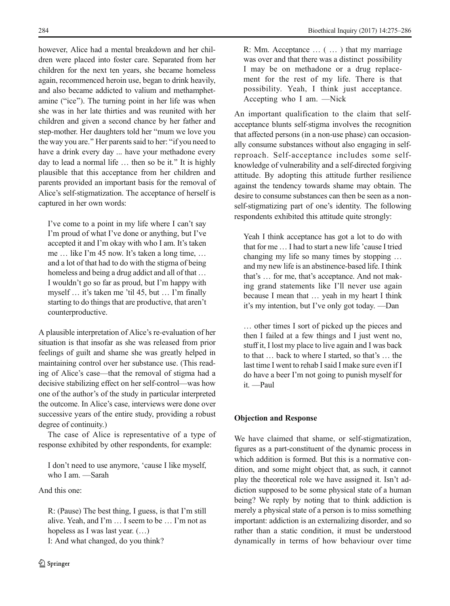however, Alice had a mental breakdown and her children were placed into foster care. Separated from her children for the next ten years, she became homeless again, recommenced heroin use, began to drink heavily, and also became addicted to valium and methamphetamine ("ice"). The turning point in her life was when she was in her late thirties and was reunited with her children and given a second chance by her father and step-mother. Her daughters told her "mum we love you the way you are." Her parents said to her: "if you need to have a drink every day ... have your methadone every day to lead a normal life … then so be it.^ It is highly plausible that this acceptance from her children and parents provided an important basis for the removal of Alice's self-stigmatization. The acceptance of herself is captured in her own words:

I've come to a point in my life where I can't say I'm proud of what I've done or anything, but I've accepted it and I'm okay with who I am. It's taken me … like I'm 45 now. It's taken a long time, … and a lot of that had to do with the stigma of being homeless and being a drug addict and all of that … I wouldn't go so far as proud, but I'm happy with myself … it's taken me 'til 45, but … I'm finally starting to do things that are productive, that aren't counterproductive.

A plausible interpretation of Alice's re-evaluation of her situation is that insofar as she was released from prior feelings of guilt and shame she was greatly helped in maintaining control over her substance use. (This reading of Alice's case—that the removal of stigma had a decisive stabilizing effect on her self-control—was how one of the author's of the study in particular interpreted the outcome. In Alice's case, interviews were done over successive years of the entire study, providing a robust degree of continuity.)

The case of Alice is representative of a type of response exhibited by other respondents, for example:

I don't need to use anymore, 'cause I like myself, who I am. —Sarah

And this one:

R: (Pause) The best thing, I guess, is that I'm still alive. Yeah, and I'm … I seem to be … I'm not as hopeless as I was last year. (…)

I: And what changed, do you think?

R: Mm. Acceptance … ( … ) that my marriage was over and that there was a distinct possibility I may be on methadone or a drug replacement for the rest of my life. There is that possibility. Yeah, I think just acceptance. Accepting who I am. —Nick

An important qualification to the claim that selfacceptance blunts self-stigma involves the recognition that affected persons (in a non-use phase) can occasionally consume substances without also engaging in selfreproach. Self-acceptance includes some selfknowledge of vulnerability and a self-directed forgiving attitude. By adopting this attitude further resilience against the tendency towards shame may obtain. The desire to consume substances can then be seen as a nonself-stigmatizing part of one's identity. The following respondents exhibited this attitude quite strongly:

Yeah I think acceptance has got a lot to do with that for me … I had to start a new life 'cause I tried changing my life so many times by stopping ... and my new life is an abstinence-based life. I think that's … for me, that's acceptance. And not making grand statements like I'll never use again because I mean that … yeah in my heart I think it's my intention, but I've only got today. —Dan

… other times I sort of picked up the pieces and then I failed at a few things and I just went no, stuff it, I lost my place to live again and I was back to that … back to where I started, so that's … the last time I went to rehab I said I make sure even if I do have a beer I'm not going to punish myself for it. —Paul

# Objection and Response

We have claimed that shame, or self-stigmatization, figures as a part-constituent of the dynamic process in which addition is formed. But this is a normative condition, and some might object that, as such, it cannot play the theoretical role we have assigned it. Isn't addiction supposed to be some physical state of a human being? We reply by noting that to think addiction is merely a physical state of a person is to miss something important: addiction is an externalizing disorder, and so rather than a static condition, it must be understood dynamically in terms of how behaviour over time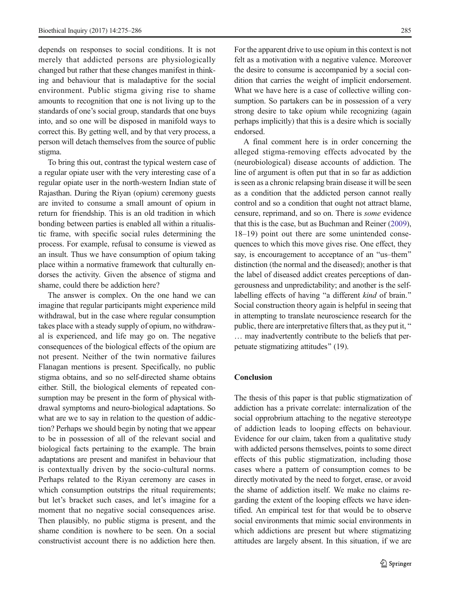depends on responses to social conditions. It is not merely that addicted persons are physiologically changed but rather that these changes manifest in thinking and behaviour that is maladaptive for the social environment. Public stigma giving rise to shame amounts to recognition that one is not living up to the standards of one's social group, standards that one buys into, and so one will be disposed in manifold ways to correct this. By getting well, and by that very process, a person will detach themselves from the source of public stigma.

To bring this out, contrast the typical western case of a regular opiate user with the very interesting case of a regular opiate user in the north-western Indian state of Rajasthan. During the Riyan (opium) ceremony guests are invited to consume a small amount of opium in return for friendship. This is an old tradition in which bonding between parties is enabled all within a ritualistic frame, with specific social rules determining the process. For example, refusal to consume is viewed as an insult. Thus we have consumption of opium taking place within a normative framework that culturally endorses the activity. Given the absence of stigma and shame, could there be addiction here?

The answer is complex. On the one hand we can imagine that regular participants might experience mild withdrawal, but in the case where regular consumption takes place with a steady supply of opium, no withdrawal is experienced, and life may go on. The negative consequences of the biological effects of the opium are not present. Neither of the twin normative failures Flanagan mentions is present. Specifically, no public stigma obtains, and so no self-directed shame obtains either. Still, the biological elements of repeated consumption may be present in the form of physical withdrawal symptoms and neuro-biological adaptations. So what are we to say in relation to the question of addiction? Perhaps we should begin by noting that we appear to be in possession of all of the relevant social and biological facts pertaining to the example. The brain adaptations are present and manifest in behaviour that is contextually driven by the socio-cultural norms. Perhaps related to the Riyan ceremony are cases in which consumption outstrips the ritual requirements; but let's bracket such cases, and let's imagine for a moment that no negative social consequences arise. Then plausibly, no public stigma is present, and the shame condition is nowhere to be seen. On a social constructivist account there is no addiction here then.

For the apparent drive to use opium in this context is not felt as a motivation with a negative valence. Moreover the desire to consume is accompanied by a social condition that carries the weight of implicit endorsement. What we have here is a case of collective willing consumption. So partakers can be in possession of a very strong desire to take opium while recognizing (again perhaps implicitly) that this is a desire which is socially endorsed.

A final comment here is in order concerning the alleged stigma-removing effects advocated by the (neurobiological) disease accounts of addiction. The line of argument is often put that in so far as addiction is seen as a chronic relapsing brain disease it will be seen as a condition that the addicted person cannot really control and so a condition that ought not attract blame, censure, reprimand, and so on. There is some evidence that this is the case, but as Buchman and Reiner [\(2009\)](#page-11-0), 18–19) point out there are some unintended consequences to which this move gives rise. One effect, they say, is encouragement to acceptance of an "us–them" distinction (the normal and the diseased); another is that the label of diseased addict creates perceptions of dangerousness and unpredictability; and another is the selflabelling effects of having "a different kind of brain." Social construction theory again is helpful in seeing that in attempting to translate neuroscience research for the public, there are interpretative filters that, as they put it, " … may inadvertently contribute to the beliefs that perpetuate stigmatizing attitudes^ (19).

#### Conclusion

The thesis of this paper is that public stigmatization of addiction has a private correlate: internalization of the social opprobrium attaching to the negative stereotype of addiction leads to looping effects on behaviour. Evidence for our claim, taken from a qualitative study with addicted persons themselves, points to some direct effects of this public stigmatization, including those cases where a pattern of consumption comes to be directly motivated by the need to forget, erase, or avoid the shame of addiction itself. We make no claims regarding the extent of the looping effects we have identified. An empirical test for that would be to observe social environments that mimic social environments in which addictions are present but where stigmatizing attitudes are largely absent. In this situation, if we are